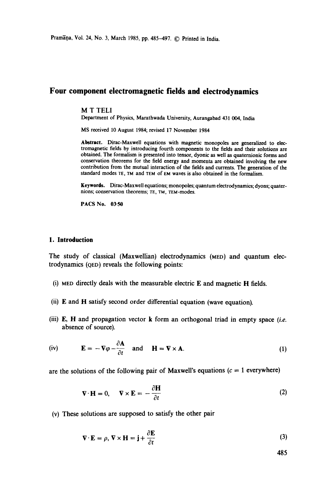# **Four component electromagnetic fields and electrodynamics**

#### M T TELl

Department of Physics, Marathwada University, Aurangabad 431 004, India

MS received 10 August 1984; revised 17 November 1984

**Abstract.** Dirac-Maxwell equations with magnetic monopoles are generalized to electromagnetic fields by introducing fourth components to the fields and their solutions are obtained. The formalism is presented into tensor, dyonic as well as quaternionic forms and conservation theorems for the field energy and momenta are obtained involving the new contribution from the mutual interaction of the fields and currents. The generation of the standard modes TE, TM and TEM of EM waves is also obtained in the formalism.

Keywords. Dirac-Maxwell equations; monopoles; quantum electrodynamics; dyons; quaternions; conservation theorems; TE, TM, TEM-modeS.

**PACS No. 03-50** 

### **1. Introduction**

The study of classical (Maxwellian) electrodynamics (MED) and quantum electrodynamics (QED) reveals the following points:

- (i) MED directly deals with the measurable electric E and magnetic H fields.
- (ii) E and H satisfy second order differential equation (wave equation).
- (iii) E, H and propagation vector k form an orthogonal triad in empty space *(i.e.*  absence of source).

(iv) 
$$
\mathbf{E} = -\nabla \varphi - \frac{\partial \mathbf{A}}{\partial t}
$$
 and  $\mathbf{H} = \nabla \times \mathbf{A}$ . (1)

are the solutions of the following pair of Maxwell's equations ( $c = 1$  everywhere)

$$
\nabla \cdot \mathbf{H} = 0, \quad \nabla \times \mathbf{E} = -\frac{\partial \mathbf{H}}{\partial t}
$$
 (2)

(v) These solutions are supposed to satisfy the other pair

$$
\nabla \cdot \mathbf{E} = \rho, \, \nabla \times \mathbf{H} = \mathbf{j} + \frac{\partial \mathbf{E}}{\partial t}
$$
 (3)

485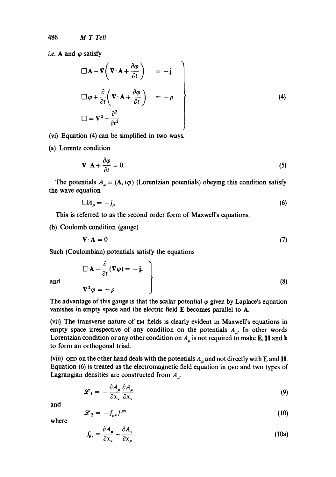*i.e.* **A** and  $\varphi$  satisfy

$$
\Box \mathbf{A} - \mathbf{V} \left( \mathbf{V} \cdot \mathbf{A} + \frac{\partial \varphi}{\partial t} \right) = -\mathbf{j}
$$
  

$$
\Box \varphi + \frac{\partial}{\partial t} \left( \mathbf{V} \cdot \mathbf{A} + \frac{\partial \varphi}{\partial t} \right) = -\rho
$$
  

$$
\Box = \mathbf{V}^2 - \frac{\partial^2}{\partial t^2}
$$
 (4)

(vi) Equation (4) can be simplified in two ways.

(a) Lorentz condition

$$
\nabla \cdot \mathbf{A} + \frac{\partial \varphi}{\partial t} = 0. \tag{5}
$$

The potentials  $A_{\mu} = (A, i\varphi)$  (Lorentzian potentials) obeying this condition satisfy the wave equation

$$
\Box A_{\mu} = -j_{\mu} \tag{6}
$$

This is referred to as the second order form of Maxwell's equations.

(b) Coulomb condition (gauge)

$$
\mathbf{V} \cdot \mathbf{A} = 0 \tag{7}
$$

Such (Coulombian) potentials satisfy the equations

and 
$$
\nabla A - \frac{\partial}{\partial t} (\nabla \varphi) = -\mathbf{j}.
$$
 (8)

The advantage of this gauge is that the scalar potential  $\varphi$  given by Laplace's equation vanishes in empty space and the electric field E becomes parallel to A.

(vii) The transverse nature of EM fields is clearly evident in Maxwell's equations in empty space irrespective of any condition on the potentials  $A_{\mu}$ . In other words Lorentzian condition or any other condition on  $A_\mu$  is not required to make E, H and k to form an orthogonal triad.

(viii) QED on the other hand deals with the potentials  $A_{\mu}$  and not directly with E and H. Equation (6) is treated as the electromagnetic field equation in QED and two types of Lagrangian densities are constructed from  $A_{\mu}$ .

$$
\mathcal{L}_1 = -\frac{\partial A_\mu}{\partial x_\nu} \frac{\partial A_\mu}{\partial x_\nu} \tag{9}
$$

and

$$
\mathcal{L}_2 = -f_{\mu\nu}f^{\mu\nu} \tag{10}
$$

where

$$
f_{\mu\nu} = \frac{\partial A_{\mu}}{\partial x_{\nu}} - \frac{\partial A_{\nu}}{\partial x_{\mu}}
$$
(10a)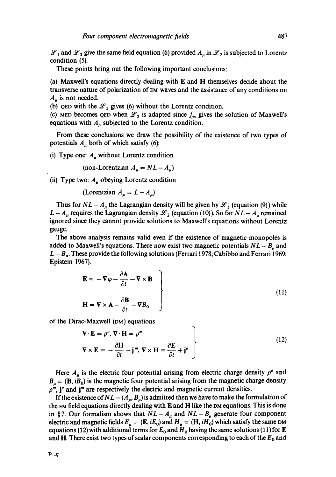$\mathscr{L}_1$  and  $\mathscr{L}_2$  give the same field equation (6) provided  $A_\mu$  in  $\mathscr{L}_2$  is subjected to Lorentz condition (5).

These points bring out the following important conclusions:

(a) Maxwell's equations directly dealing with  $E$  and  $H$  themselves decide about the transverse nature of polarization of EM waves and the assistance of any conditions on  $A_u$  is not needed.

(b) QED with the  $\mathcal{L}_1$  gives (6) without the Lorentz condition.

(c) MED becomes QED when  $\mathcal{L}_2$  is adapted since  $f_{\mu\nu}$  gives the solution of Maxwell's equations with  $A<sub>u</sub>$  subjected to the Lorentz condition.

From these conclusions we draw the possibility of the existence of two types of potentials  $A_{\mu}$  both of which satisfy (6):

(i) Type one:  $A<sub>u</sub>$  without Lorentz condition

(non-Lorentzian  $A_u = NL - A_u$ )

(ii) Type two:  $A_u$  obeying Lorentz condition

(Lorentzian 
$$
A_u = L - A_u
$$
)

Thus for  $NL - A_{\mu}$  the Lagrangian density will be given by  $\mathscr{L}_1$  (equation (9)) while  $L - A_{\mu}$  requires the Lagrangian density  $\mathscr{L}_2$  (equation (10)). So far  $NL - A_{\mu}$  remained ignored since they cannot provide solutions to Maxwell's equations without Lorentz gauge.

The above analysis remains valid even if the existence of magnetic monopoles is added to Maxwell's equations. There now exist two magnetic potentials  $NL - B_u$  and  $L - B_{\mu}$ . These provide the following solutions (Ferrari 1978; Cabibbo and Ferrari 1969; Epistein 1967).

$$
\mathbf{E} = -\nabla \varphi - \frac{\partial \mathbf{A}}{\partial t} - \nabla \times \mathbf{B}
$$
  
\n
$$
\mathbf{H} = \nabla \times \mathbf{A} - \frac{\partial \mathbf{B}}{\partial t} - \nabla B_0
$$
\n(11)

of the Dirac-Maxwell (DM) equations

$$
\nabla \cdot \mathbf{E} = \rho^e, \nabla \cdot \mathbf{H} = \rho^m
$$
  
\n
$$
\nabla \times \mathbf{E} = -\frac{\partial \mathbf{H}}{\partial t} - \mathbf{j}^m, \nabla \times \mathbf{H} = \frac{\partial \mathbf{E}}{\partial t} + \mathbf{j}^e
$$
 (12)

Here  $A_{\mu}$  is the electric four potential arising from electric charge density  $\rho^{e}$  and  $B_{\mu} = (\mathbf{B}, iB_0)$  is the magnetic four potential arising from the magnetic charge density  $\rho^m$ , j<sup>e</sup> and j<sup>m</sup> are respectively the electric and magnetic current densities.

If the existence of  $NL - (A_u, B_u)$  is admitted then we have to make the formulation of the  $EM$  field equations directly dealing with  $E$  and  $H$  like the DM equations. This is done in §2. Our formalism shows that  $NL - A_\mu$  and  $NL - B_\mu$  generate four component electric and magnetic fields  $E_{\mu} = (E, iE_0)$  and  $H_{\mu} = (H, iH_0)$  which satisfy the same DM equations (12) with additional terms for  $E_0$  and  $H_0$  having the same solutions (11) for E and H. There exist two types of scalar components corresponding to each of the  $E_0$  and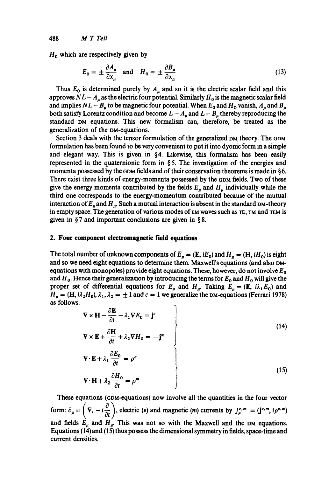$H_0$  which are respectively given by

$$
E_0 = \pm \frac{\partial A_\mu}{\partial x_\mu} \quad \text{and} \quad H_0 = \pm \frac{\partial B_\mu}{\partial x_\mu} \tag{13}
$$

Thus  $E_0$  is determined purely by  $A_\mu$  and so it is the electric scalar field and this approves  $NL - A<sub>\mu</sub>$  as the electric four potential. Similarly  $H<sub>0</sub>$  is the magnetic scalar field and implies  $NL - B_{\mu}$  to be magnetic four potential. When  $E_0$  and  $H_0$  vanish,  $A_{\mu}$  and  $B_{\mu}$ both satisfy Lorentz condition and become  $L - A_{\mu}$  and  $L - B_{\mu}$  thereby reproducing the standard DM equations. This new formalism can, therefore, be treated as the generalization of the DM-equations.

Section 3 deals with the tensor formulation of the generalized DM theory. The GDM formulation has been found to be very convenient to put it into dyonic form in a simple and elegant way. This is given in  $\S 4$ . Likewise, this formalism has been easily represented in the quaternionic form in  $\S$ 5. The investigation of the energies and momenta possessed by the GDM fields and of their conservation theorems is made in § 6. There exist three kinds of energy-momenta possessed by the GDM fields. Two of these give the energy momenta contributed by the fields  $E_u$  and  $H_u$  individually while the third one corresponds to the energy-momentum contributed because of the mutual interaction of  $E_u$  and  $H_u$ . Such a mutual interaction is absent in the standard DM-theory in empty space. The generation of various modes of  $EM$  waves such as  $TE$ ,  $TM$  and  $TEM$  is given in § 7 and important conclusions are given in § 8.

## **2. Four component electromagnetic field equations**

The total number of unknown components of  $E_{\mu} = (E, iE_0)$  and  $H_{\mu} = (H, iH_0)$  is eight and so we need eight equations to determine them. Maxwell's equations (and also DMequations with monopoles) provide eight equations. These, however, do not involve  $E_0$ and  $H_0$ . Hence their generalization by introducing the terms for  $E_0$  and  $H_0$  will give the proper set of differential equations for  $E_{\mu}$  and  $H_{\mu}$ . Taking  $E_{\mu} = (E, i\lambda_1 E_0)$  and  $H_u = (H, i\lambda_2 H_0), \lambda_1, \lambda_2 = \pm 1$  and  $c = 1$  we generalize the DM-equations (Ferrari 1978) as follows.

$$
\nabla \times \mathbf{H} - \frac{\partial \mathbf{E}}{\partial t} - \lambda_1 \nabla E_0 = \mathbf{j}^e
$$
  
\n
$$
\nabla \times \mathbf{E} + \frac{\partial \mathbf{H}}{\partial t} + \lambda_2 \nabla H_0 = -\mathbf{j}^m
$$
 (14)

$$
\nabla \cdot \mathbf{E} + \lambda_1 \frac{\partial E_0}{\partial t} = \rho^e
$$
  
\n
$$
\nabla \cdot \mathbf{H} + \lambda_2 \frac{\partial H_0}{\partial t} = \rho^m
$$
 (15)

These equations (GDM-equations) now involve all the quantities in the four vector form:  $\partial_{\mu} = \left(\nabla, -i\frac{\partial}{\partial t}\right)$ , electric (e) and magnetic (m) currents by  $j_{\mu}^{e,m} = (j^{e,m}, i\rho^{e,m})$ and fields  $E_{\mu}$  and  $H_{\mu}$ . This was not so with the Maxwell and the DM equations. Equations (14) and (15) thus possess the dimensional symmetry in fields, space-time and current densities.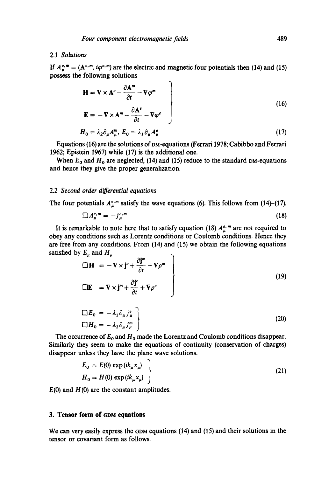## 2.1 *Solutions*

If  $A_{\mu}^{e,m} = (A^{e,m}, i\varphi^{e,m})$  are the electric and magnetic four potentials then (14) and (15) possess the following solutions

$$
\mathbf{H} = \nabla \times \mathbf{A}^e - \frac{\partial \mathbf{A}^m}{\partial t} - \nabla \varphi^m
$$
\n
$$
\mathbf{E} = -\nabla \times \mathbf{A}^m - \frac{\partial \mathbf{A}^e}{\partial t} - \nabla \varphi^e
$$
\n(16)

$$
H_0 = \lambda_2 \partial_\mu A_\mu^m, E_0 = \lambda_1 \partial_\mu A_\mu^e \tag{17}
$$

Equations (16) are the solutions of DM-equations (Ferrari 1978; Cabibbo and Ferrari 1962; Epistein 1967) while (17) is the additional one.

When  $E_0$  and  $H_0$  are neglected, (14) and (15) reduce to the standard DM-equations and hence they give the proper generalization.

### 2.2 *Second order differential equations*

The four potentials  $A_{\mu}^{e,m}$  satisfy the wave equations (6). This follows from (14)-(17).

$$
\Box A_{\mu}^{e,m} = -j_{\mu}^{e,m} \tag{18}
$$

It is remarkable to note here that to satisfy equation (18)  $A_{\mu}^{e_m}$  are not required to obey any conditions such as Lorentz conditions or Coulomb conditions. Hence they are free from any conditions. From (14) and (15) we obtain the following equations satisfied by  $E_u$  and  $H_u$ 

$$
\Box \mathbf{H} = -\nabla \times \mathbf{j}^e + \frac{\partial \mathbf{j}^m}{\partial t} + \nabla \rho^m
$$
\n
$$
\Box \mathbf{E} = \nabla \times \mathbf{j}^m + \frac{\partial \mathbf{j}^e}{\partial t} + \nabla \rho^e
$$
\n(19)

$$
\Box E_0 = -\lambda_1 \partial_\mu j_\mu^e
$$
  

$$
\Box H_0 = -\lambda_2 \partial_\mu j_\mu^m
$$
 (20)

The occurrence of  $E_0$  and  $H_0$  made the Lorentz and Coulomb conditions disappear. Similarly they seem to make the equations of continuity (conservation of charges) disappear unless they have the plane wave solutions.

$$
E_0 = E(0) \exp(ik_{\mu}x_{\mu})
$$
  
\n
$$
H_0 = H(0) \exp(ik_{\mu}x_{\mu})
$$
\n(21)

 $E(0)$  and  $H(0)$  are the constant amplitudes.

### **3. Tensor form of GDM equations**

We can very easily express the GDM equations (14) and (15) and their solutions in the tensor or covariant form as follows.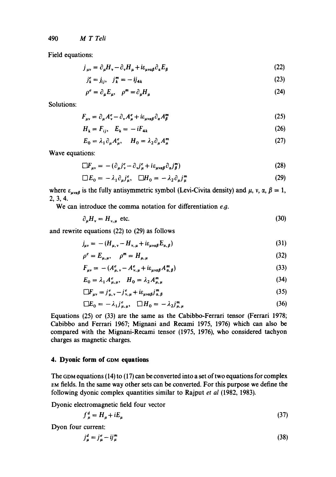490 *M T Teli* 

Field equations:

$$
j_{\mu\nu} = \partial_{\mu} H_{\nu} - \partial_{\nu} H_{\mu} + i \varepsilon_{\mu\nu\alpha\beta} \partial_{\alpha} E_{\beta}
$$
 (22)

$$
j_k^e = j_{ij}, \quad j_k^m = -ij_{4k} \tag{23}
$$

$$
\rho^e = \partial_\mu E_\mu, \quad \rho^m = \partial_\mu H_\mu \tag{24}
$$

Solutions:

$$
F_{\mu\nu} = \partial_{\mu}A^e_{\nu} - \partial_{\nu}A^e_{\mu} + i\epsilon_{\mu\nu\alpha\beta}\partial_{\alpha}A^m_{\beta}
$$
 (25)

$$
H_k = F_{ij}, \quad E_k = -iF_{4k} \tag{26}
$$

$$
E_0 = \lambda_1 \partial_\mu A_\mu^e, \quad H_0 = \lambda_2 \partial_\mu A_\mu^m \tag{27}
$$

Wave equations:

$$
\Box F_{\mu\nu} = -(\partial_{\mu}j^e_{\nu} - \partial_{\nu}j^e_{\mu} + i\varepsilon_{\mu\nu\alpha\beta}\partial_{\alpha}j^m_{\beta})
$$
\n(28)

$$
\Box E_0 = -\lambda_1 \partial_\mu j_\mu^e, \quad \Box H_0 = -\lambda_2 \partial_\mu j_\mu^m \tag{29}
$$

where  $\varepsilon_{\mu\nu\alpha\beta}$  is the fully antisymmetric symbol (Levi-Civita density) and  $\mu$ , v,  $\alpha$ ,  $\beta = 1$ , 2,3,4.

We can introduce the comma notation for differentiation *e.9.* 

$$
\partial_{\mu}H_{\nu} = H_{\nu,\mu} \text{ etc.}
$$
 (30)

and rewrite equations (22) to (29) as follows

$$
j_{\mu\nu} = -(H_{\mu,\nu} - H_{\nu,\mu} + i\varepsilon_{\mu\nu\alpha\beta} E_{\alpha,\beta})
$$
\n(31)

$$
\rho^e = E_{\mu,\mu}, \quad \rho^m = H_{\mu,\mu} \tag{32}
$$

$$
F_{\mu\nu} = -(A_{\mu,\nu}^e - A_{\nu,\mu}^e + i\varepsilon_{\mu\nu\alpha\beta}A_{\alpha,\beta}^m)
$$
\n(33)

$$
E_0 = \lambda_1 A_{\mu,\mu}^e, \quad H_0 = \lambda_2 A_{\mu,\mu}^m \tag{34}
$$

$$
\Box F_{\mu\nu} = j_{\mu,\nu}^e - j_{\nu,\mu}^e + i\varepsilon_{\mu\nu\alpha\beta} j_{\alpha,\beta}^m
$$
 (35)

$$
\Box E_0 = -\lambda_1 j_{\mu,\mu}^e, \quad \Box H_0 = -\lambda_2 j_{\mu,\mu}^m \tag{36}
$$

Equations (25) or (33) are the same as the Cabibbo-Ferrari tensor (Ferrari 1978; Cabibbo and Ferrari 1967; Mignani and Recami 1975. 1976) which can also be compared with the Mignani-Recami tensor (1975. 1976). who considered tachyon charges as magnetic charges.

## **4. Dyonic form of GDM equations**

The GDM equations (14) to (17) can be converted into a set of two equations for complex EM fields. In the same way other sets can be converted. For this purpose we define the following dyonic complex quantities similar to Rajput *et al* (1982, 1983).

Dyonic electromagnetic field four vector

$$
f_{\mu}^{d} = H_{\mu} + iE_{\mu} \tag{37}
$$

Dyon four current:

$$
j^d_\mu = j^e_\mu - i j^m_\mu \tag{38}
$$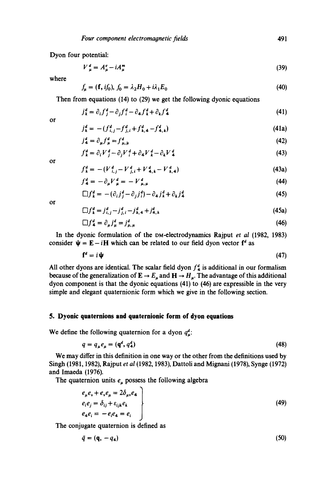Dyon four potential:

$$
V_{\mu}^{d} = A_{\mu}^{e} - iA_{\mu}^{m} \tag{39}
$$

where

$$
f_{\mu} = (\mathbf{f}, i f_0), f_0 = \lambda_2 H_0 + i \lambda_1 E_0 \tag{40}
$$

Then from equations (14) to (29) we get the following dyonic equations

$$
j_k^d = \partial_i f_j^d - \partial_j f_i^d - \partial_4 f_k^d + \partial_k f_4^d \tag{41}
$$

or

$$
j_k^d = -(f_{i,j}^d - f_{j,i}^d + f_{k,4}^d - f_{4,k}^d)
$$
\n(41a)

$$
j^d_{\mathbf{4}} = \partial_{\mu} f^d_{\mu} = f^d_{\mu,\mu} \tag{42}
$$

$$
f_{k}^{d} = \partial_{i} V_{j}^{d} - \partial_{j} V_{i}^{d} + \partial_{4} V_{k}^{d} - \partial_{k} V_{4}^{d}
$$
\n(43)

or

$$
f_{k}^{d} = -(V_{i,j}^{d} - V_{j,i}^{d} + V_{4,k}^{d} - V_{k,4}^{d})
$$
\n(43a)

$$
f_4^d = -\partial_\mu V_\mu^d = -V_{\mu,\mu}^d \tag{44}
$$

$$
\Box f_k^d = -(\partial_i j_j^d - \partial_j j_i^d) - \partial_{4} j_k^d + \partial_k j_4^d \tag{45}
$$

or

$$
\Box f_k^d = j_{i,j}^d - j_{j,i}^d - j_{k,4}^d + j_{4,k}^d \tag{45a}
$$

$$
\Box f_4^d = \partial_\mu j_\mu^d = j_{\mu,\mu}^d \tag{46}
$$

In the dyonic formulation of the DM-electrodynamics Rajput *et al* (1982, 1983) consider  $\psi = E - iH$  which can be related to our field dyon vector  $f^d$  as

$$
\mathbf{f}^d = i\mathbf{\psi} \tag{47}
$$

All other dyons are identical. The scalar field dyon  $f<sup>4</sup>$  is additional in our formalism because of the generalization of  $\mathbf{E} \to E_{\mu}$  and  $\mathbf{H} \to H_{\mu}$ . The advantage of this additional dyon component is that the dyonic equations (41) to (46) are expressible in the very simple and elegant quaternionic form which we give in the following section.

# **5. Dyonic quaternions and quaternionie form of dyon equations**

We define the following quaternion for a dyon  $q_{\mu}^{d}$ :

$$
q = q_{\mu}e_{\mu} = (\mathbf{q}^d, q^d_{\mathbf{4}})
$$
\n<sup>(48)</sup>

We may differ in this definition in one way or the other from the definitions used by Singh (1981, 1982), Rajput *et al* (1982, 1983), Dattoli and Mignani (1978), Synge (1972) and Imaeda (1976).

The quaternion units  $e_{\mu}$  possess the following algebra

$$
\begin{aligned}\ne_{\mu} e_{\nu} + e_{\nu} e_{\mu} &= 2\delta_{\mu\nu} e_4 \\
e_i e_j &= \delta_{ij} + \varepsilon_{ijk} e_k \\
e_4 e_i &= -e_i e_4 = e_i\n\end{aligned} \tag{49}
$$

The conjugate quaternion is defined as

$$
\bar{q} = (\mathbf{q}, -q_4) \tag{50}
$$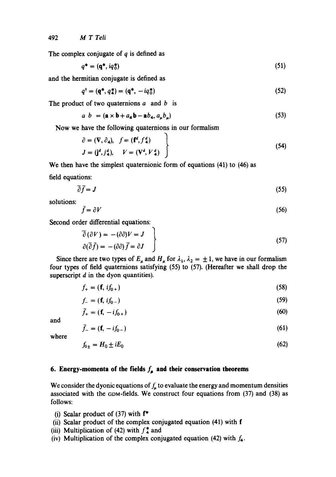The complex conjugate of  $q$  is defined as

$$
q^* = (\mathbf{q}^*, i q_0^*)
$$
\n<sup>(51)</sup>

and the hermitian conjugate is defined as

$$
q^{\dagger} = (\mathbf{q}^*, q^*_{4}) = (\mathbf{q}^*, -i q^*_{0})
$$
 (52)

The product of two quaternions  $a$  and  $b$  is

$$
a \ b = (\mathbf{a} \times \mathbf{b} + a_{\mathbf{4}} \mathbf{b} - \mathbf{a} b_{\mathbf{4}}, a_{\mu} b_{\mu})
$$
 (53)

Now we have the following quaternions in our formalism

$$
\begin{aligned}\n\partial &= (\mathbf{V}, \partial_4), \quad f = (\mathbf{f}^d, f_4^d) \\
J &= (\mathbf{j}^d, j_4^d), \quad V = (\mathbf{V}^d, V_4^d)\n\end{aligned}
$$
\n(54)

We then have the simplest quaternionic form of equations (41) to (46) as field equations:

$$
\overline{\partial}\overline{f} = \mathbf{J} \tag{55}
$$

solutions:

$$
\bar{f} = \partial V \tag{56}
$$

Second order differential equations:

$$
\overline{\partial}(\partial V) = -(\partial \partial)V = J
$$
  
\n
$$
\partial(\overline{\partial}\overline{f}) = -(\partial \partial)\overline{f} = \partial J
$$
\n(57)

Since there are two types of  $E_{\mu}$  and  $H_{\mu}$  for  $\lambda_1$ ,  $\lambda_2 = \pm 1$ , we have in our formalism four types of field quaternions satisfying (55) to (57). (Hereafter we shall drop the superscript  $d$  in the dyon quantities).

$$
f_{+} = (\mathbf{f}, \, i f_{0+}) \tag{58}
$$

$$
f_{-} = (\mathbf{f}, i f_{0-}) \tag{59}
$$

$$
\bar{f}_+ = (\mathbf{f}, -i f_{0+}) \tag{60}
$$

and

$$
\tilde{f}_- = (\mathbf{f}, -i f_{0-}) \tag{61}
$$

where

$$
f_{0\pm} = H_0 \pm iE_0 \tag{62}
$$

# **6. Energy-momenta of the fields**  $f_{\mu}$  **and their conservation theorems**

We consider the dyonic equations of  $f<sub>u</sub>$  to evaluate the energy and momentum densities associated with the GOM-fields. We construct four equations from (37) and (38) as follows:

- (i) Scalar product of  $(37)$  with  $f^*$
- (ii) Scalar product of the complex conjugated equation (41) with f
- (iii) Multiplication of (42) with  $f_4^*$  and
- (iv) Multiplication of the complex conjugated equation (42) with  $f_4$ .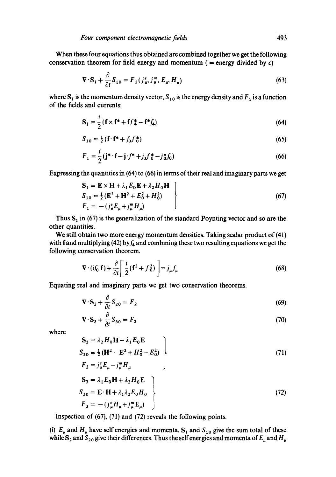When these four equations thus obtained are combined together we get the following conservation theorem for field energy and momentum ( = energy divided by  $c$ )

$$
\nabla \cdot \mathbf{S}_1 + \frac{\partial}{\partial t} S_{10} = F_1(j_\mu^e, j_\mu^m, E_\mu, H_\mu)
$$
\n(63)

where  $S_1$  is the momentum density vector,  $S_{10}$  is the energy density and  $F_1$  is a function of the fields and currents:

$$
S_1 = \frac{i}{2} (f \times f^* + f f_4^* - f^* f_4)
$$
 (64)

$$
S_{10} = \frac{1}{2} \left( \mathbf{f} \cdot \mathbf{f}^* + f_0 f^* \right) \tag{65}
$$

$$
F_1 = \frac{i}{2} (\mathbf{j}^* \cdot \mathbf{f} - \mathbf{j} \cdot f^* + j_0 f_0^* - j_0^* f_0)
$$
 (66)

Expressing the quantities in (64) to (66) in terms of their real and imaginary parts we get

$$
S_1 = E \times H + \lambda_1 E_0 E + \lambda_2 H_0 H
$$
  
\n
$$
S_{10} = \frac{1}{2} (E^2 + H^2 + E_0^2 + H_0^2)
$$
  
\n
$$
F_1 = -(j_{\mu}^e E_{\mu} + j_{\mu}^m H_{\mu})
$$
\n(67)

Thus  $S_1$  in (67) is the generalization of the standard Poynting vector and so are the other quantities.

We still obtain two more energy momentum densities. Taking scalar product of (41) with fand multiplying (42) by  $f_4$  and combining these two resulting equations we get the following conservation theorem.

$$
\nabla \cdot (i f_0 \mathbf{f}) + \frac{\partial}{\partial t} \left[ \frac{i}{2} (\mathbf{f}^2 + f_0^2) \right] = j_{\mu} f_{\mu}
$$
 (68)

Equating real and imaginary parts we get two conservation theorems.

$$
\nabla \cdot \mathbf{S}_2 + \frac{\partial}{\partial t} S_{20} = F_2 \tag{69}
$$

$$
\nabla \cdot \mathbf{S}_3 + \frac{\partial}{\partial t} S_{30} = F_3 \tag{70}
$$

where

$$
S_2 = \lambda_2 H_0 H - \lambda_1 E_0 E
$$
  
\n
$$
S_{20} = \frac{1}{2} (H^2 - E^2 + H_0^2 - E_0^2)
$$
  
\n
$$
F_2 = j_{\mu}^e E_{\mu} - j_{\mu}^m H_{\mu}
$$
\n(71)

$$
S_3 = \lambda_1 E_0 H + \lambda_2 H_0 E
$$
  
\n
$$
S_{30} = E \cdot H + \lambda_1 \lambda_2 E_0 H_0
$$
  
\n
$$
F_3 = -(j_{\mu}^e H_{\mu} + j_{\mu}^m E_{\mu})
$$
\n(72)

Inspection of  $(67)$ ,  $(71)$  and  $(72)$  reveals the following points.

(i)  $E_{\mu}$  and  $H_{\mu}$  have self energies and momenta.  $S_1$  and  $S_{10}$  give the sum total of these while  $S_2$  and  $S_{20}$  give their differences. Thus the self energies and momenta of  $E_u$  and  $H_u$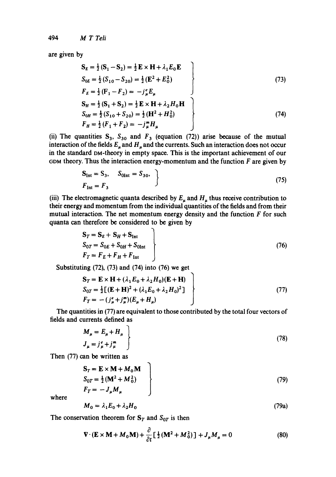are given by

$$
S_{E} = \frac{1}{2}(S_{1} - S_{2}) = \frac{1}{2}E \times H + \lambda_{1}E_{0}E
$$
  
\n
$$
S_{0E} = \frac{1}{2}(S_{10} - S_{20}) = \frac{1}{2}(E^{2} + E_{0}^{2})
$$
  
\n
$$
F_{E} = \frac{1}{2}(F_{1} - F_{2}) = -j_{\mu}^{e}E_{\mu}
$$
  
\n
$$
S_{H} = \frac{1}{2}(S_{1} + S_{2}) = \frac{1}{2}E \times H + \lambda_{2}H_{0}H
$$
  
\n
$$
S_{0H} = \frac{1}{2}(S_{10} + S_{20}) = \frac{1}{2}(H^{2} + H_{0}^{2})
$$
  
\n
$$
F_{H} = \frac{1}{2}(F_{1} + F_{2}) = -j_{\mu}^{m}H_{\mu}
$$
\n(74)

(ii) The quantities  $S_3$ ,  $S_{30}$  and  $F_3$  (equation (72)) arise because of the mutual interaction of the fields  $E_u$  and  $H_u$  and the currents. Such an interaction does not occur in the standard OM-theory in empty space. This is the important achievement of our GDM theory. Thus the interaction energy-momentum and the function  $F$  are given by

$$
S_{\text{Int}} = S_3, \quad S_{\text{0Int}} = S_{30}, \quad \}
$$
  
\n
$$
F_{\text{Int}} = F_3
$$
\n(75)

(iii) The electromagnetic quanta described by  $E_{\mu}$  and  $H_{\mu}$  thus receive contribution to their energy and momentum from the individual quantities of the fields and from their mutual interaction. The net momentum energy density and the function  $F$  for such quanta can therefore be considered to be given by

$$
S_T = S_E + S_H + S_{Int}
$$
  
\n
$$
S_{0T} = S_{0E} + S_{0H} + S_{0Int}
$$
  
\n
$$
F_T = F_E + F_H + F_{Int}
$$
\n(76)

Substituting (72), (73) and (74) into (76) we get

$$
S_T = E \times H + (\lambda_1 E_0 + \lambda_2 H_0)(E + H) S_{0T} = \frac{1}{2}[(E + H)^2 + (\lambda_1 E_0 + \lambda_2 H_0)^2] F_T = -(j_{\mu}^e + j_{\mu}^m)(E_{\mu} + H_{\mu})
$$
 (77)

The quantities in (77) are equivalent to those contributed by the total four vectors of fields and currents defined as

$$
M_{\mu} = E_{\mu} + H_{\mu}
$$
  
\n
$$
J_{\mu} = j_{\mu}^{e} + j_{\mu}^{m}
$$
\n(78)

Then (77) can be written as

$$
S_T = E \times M + M_0 M
$$
  
\n
$$
S_{0T} = \frac{1}{2} (M^2 + M_0^2)
$$
  
\n
$$
F_T = -J_\mu M_\mu
$$
\n(79)

where

$$
M_0 = \lambda_1 E_0 + \lambda_2 H_0 \tag{79a}
$$

The conservation theorem for  $S_T$  and  $S_{0T}$  is then

$$
\nabla \cdot (\mathbf{E} \times \mathbf{M} + M_0 \mathbf{M}) + \frac{\partial}{\partial t} \left[ \frac{1}{2} (\mathbf{M}^2 + M_0^2) \right] + J_\mu M_\mu = 0 \tag{80}
$$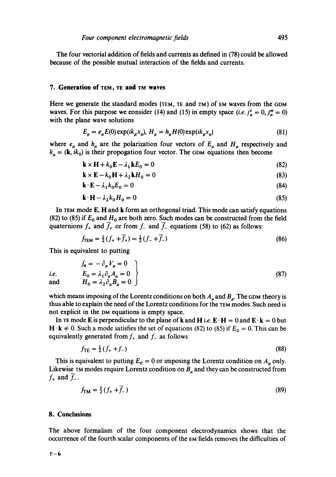The four vectorial addition of fields and currents as defined in (78) could be allowed because of the possible mutual interaction of the fields and currents.

#### **7. Generation of TEM, TE and TM waves**

Here we generate the standard modes (TEM, TE and TM) of EM waves from the GDM waves. For this purpose we consider (14) and (15) in empty space *(i.e.*  $j_{\mu}^{e} = 0$ ,  $j_{\mu}^{m} = 0$ ) with the plane wave solutions

$$
E_{\mu} = e_{\mu} E(0) \exp(ik_{\mu} x_{\mu}), H_{\mu} = h_{\mu} H(0) \exp(ik_{\mu} x_{\mu})
$$
\n(81)

where  $e_{\mu}$  and  $h_{\mu}$  are the polarization four vectors of  $E_{\mu}$  and  $H_{\mu}$  respectively and  $k_{\mu} = (k, i k_0)$  is their propogation four vector. The GDM equations then become

$$
\mathbf{k} \times \mathbf{H} + k_0 \mathbf{E} - \lambda_1 \mathbf{k} E_0 = 0 \tag{82}
$$

$$
\mathbf{k} \times \mathbf{E} - k_0 \mathbf{H} + \lambda_2 \mathbf{k} H_0 = 0 \tag{83}
$$

$$
\mathbf{k} \cdot \mathbf{E} - \lambda_1 k_0 E_0 = 0 \tag{84}
$$

$$
\mathbf{k} \cdot \mathbf{H} - \lambda_2 k_0 H_0 = 0 \tag{85}
$$

In TEM mode E, H and k form an orthogonal triad. This mode can satisfy equations (82) to (85) if  $E_0$  and  $H_0$  are both zero. Such modes can be constructed from the field quaternions  $f_+$  and  $\overline{f}_+$  or from  $f_-$  and  $\overline{f}_-$  equations (58) to (62) as follows:

$$
f_{\text{TEM}} = \frac{1}{2} \left( f_+ + \overline{f}_+ \right) = \frac{1}{2} \left( f_- + \overline{f}_- \right) \tag{86}
$$

This is equivalent to putting

$$
\begin{aligned}\nf_4 &= -\partial_\mu V_\mu = 0 \\
\text{i.e.} & E_0 = \lambda_1 \partial_\mu A_\mu = 0 \\
H_0 &= \lambda_2 \partial_\mu B_\mu = 0\n\end{aligned}
$$
\n(87)

which means imposing of the Lorentz conditions on both  $A_u$  and  $B_u$ . The GDM theory is thus able to explain the need of the Lorentz conditions for the TEM modes. Such need is not explicit in the DM equations is empty space.

In TE mode **E** is perpendicular to the plane of **k** and **H** *i.e.*  $\mathbf{E} \cdot \mathbf{H} = 0$  and  $\mathbf{E} \cdot \mathbf{k} = 0$  but  $H \cdot k \neq 0$ . Such a mode satisfies the set of equations (82) to (85) if  $E_0 = 0$ . This can be equivalently generated from  $f_+$  and  $f_-$  as follows

$$
f_{\rm TE} = \frac{1}{2} \left( f_+ + f_- \right) \tag{88}
$$

This is equivalent to putting  $E_0 = 0$  or imposing the Lorentz condition on  $A_u$  only. Likewise TM modes require Lorentz condition on  $B_\mu$  and they can be constructed from  $f_+$  and  $\overline{f}_-$ .

$$
f_{\text{TM}} = \frac{1}{2} (f_+ + \overline{f_-})
$$
 (89)

## **8. Conclusions**

The above formalism of the four component electrodynamics shows that the occurrence of the fourth scalar components of the EM fields removes the difficulties of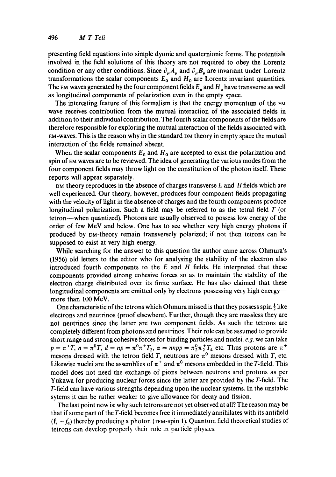presenting field equations into simple dyonic and quaternionic forms. The potentials involved in the field solutions of this theory are not required to obey the Lorentz condition or any other conditions. Since  $\partial_{\mu}A_{\mu}$  and  $\partial_{\mu}B_{\mu}$  are invariant under Lorentz transformations the scalar components  $E_0$  and  $H_0$  are Lorentz invariant quantities. The EM waves generated by the four component fields  $E_u$  and  $H_u$  have transverse as well as longitudinal components of polarization even in the empty space.

The interesting feature of this formalism is that the energy momentum of the EM wave receives contribution from the mutual interaction of the associated fields in addition to their individual contribution. The fourth scalar components of the fields are therefore responsible for exploring the mutual interaction of the fields associated with EM-waves. This is the reason why in the standard DM theory in empty space the mutual interaction of the fields remained absent.

When the scalar components  $E_0$  and  $H_0$  are accepted to exist the polarization and spin of EM waves are to be reviewed. The idea of generating the various modes from the four component fields may throw light on the constitution of the photon itself. These reports will appear separately.

 $DM$  theory reproduces in the absence of charges transverse  $E$  and  $H$  fields which are well experienced. Our theory, however, produces four component fields propagating with the velocity of light in the absence of charges and the fourth components produce longitudinal polarization. Such a field may be referred to as the tetral field  $T$  (or tetron--when quantized). Photons are usually observed to possess low energy of the order of few MeV and below. One has to see whether very high energy photons if produced by DM-theory remain transversely polarized; if not then tetrons can be supposed to exist at very high energy.

While searching for the answer to this question the author came across Ohmura's (1956) old letters to the editor who for analysing the stability of the electron also introduced fourth components to the  $E$  and  $H$  fields. He interpreted that these components provided strong cohesive forces so as to maintain the stability of the electron charge distributed over its finite surface. He has also claimed that these longitudinal components are emitted only by electrons possessing very high energy-more than 100 MeV.

One characteristic of the tetrons which Ohmura missed is that they possess spin  $\frac{1}{2}$  like electrons and neutrinos (proof elsewhere). Further, though they are massless they are not neutrinos since the latter are two component fields. As such the tetrons are completely different from photons and neutrinos. Their role can be assumed to provide short range and strong cohesive forces for binding particles and nuclei,  $e.g.$  we can take  $p = \pi^{+T}$ ,  $n = \pi^{0}T$ ,  $d = np = \pi^{0}\pi^{+T}_{2}$ ,  $\alpha = nnpp = \pi^{0}_{2}\pi^{+T}_{2}$  etc. Thus protons are  $\pi^{+}$ mesons dressed with the tetron field T, neutrons are  $\pi^0$  mesons dressed with T, etc. Likewise nuclei are the assemblies of  $\pi^+$  and  $\pi^0$  mesons embedded in the T-field. This model does not need the exchange of pions between neutrons and protons as per Yukawa for producing nuclear forces since the latter are provided by the T-field. The T-field can have various strengths depending upon the nuclear systems. In the unstable sytems it can be rather weaker to give allowance for decay and fission.

The last point now is: why such tetrons are not yet observed at all? The reason may be that if some part of the T-field becomes free it immediately annihilates with its antifield  $(f, -f_4)$  thereby producing a photon (TEM-spin 1). Quantum field theoretical studies of tetrons can develop properly their role in particle physics.